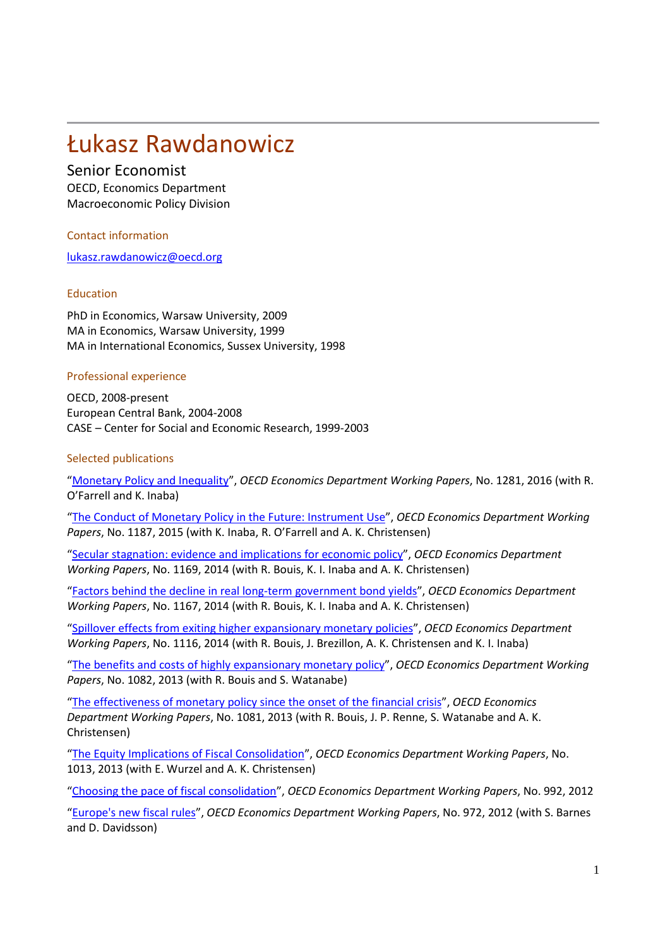# Łukasz Rawdanowicz

## Senior Economist

OECD, Economics Department Macroeconomic Policy Division

Contact information

[lukasz.rawdanowicz@oecd.org](mailto:lukasz.rawdanowicz@oecd.org)

### Education

PhD in Economics, Warsaw University, 2009 MA in Economics, Warsaw University, 1999 MA in International Economics, Sussex University, 1998

### Professional experience

OECD, 2008-present European Central Bank, 2004-2008 CASE – Center for Social and Economic Research, 1999-2003

### Selected publications

"[Monetary Policy and Inequality](http://dx.doi.org/10.1787/5jm2hz2x9hxr-en)", *OECD Economics Department Working Papers*, No. 1281, 2016 (with R. O'Farrell and K. Inaba)

"[The Conduct of Monetary Policy in the Future: Instrument Use](http://dx.doi.org/10.1787/5js4w293c46j-en)", *OECD Economics Department Working Papers*, No. 1187, 2015 (with K. Inaba, R. O'Farrell and A. K. Christensen)

"[Secular stagnation: evidence and implications for economic policy](http://dx.doi.org/10.1787/5jxvgg6q27vd-en)", *OECD Economics Department Working Papers*, No. 1169, 2014 (with R. Bouis, K. I. Inaba and A. K. Christensen)

"[Factors behind the decline in real long](http://dx.doi.org/10.1787/5jxvgg7q1322-en)-term government bond yields", *OECD Economics Department Working Papers*, No. 1167, 2014 (with R. Bouis, K. I. Inaba and A. K. Christensen)

"[Spillover effects from exiting higher expansionary monetary policies](http://dx.doi.org/10.1787/5jz417mb6dzp-en)", *OECD Economics Department Working Papers*, No. 1116, 2014 (with R. Bouis, J. Brezillon, A. K. Christensen and K. I. Inaba)

"[The benefits and costs of highly expansionary monetary policy](http://dx.doi.org/10.1787/5k41zq8lwj9v-en)", *OECD Economics Department Working Papers*, No. 1082, 2013 (with R. Bouis and S. Watanabe)

"[The effectiveness of monetary policy since the onset of the financial crisis](http://dx.doi.org/10.1787/5k41zq9brrbr-en)", *OECD Economics Department Working Papers*, No. 1081, 2013 (with R. Bouis, J. P. Renne, S. Watanabe and A. K. Christensen)

"[The Equity Implications of Fiscal Consolidation](http://dx.doi.org/10.1787/5k4dlvx2wjq0-en)", *OECD Economics Department Working Papers*, No. 1013, 2013 (with E. Wurzel and A. K. Christensen)

"[Choosing the pace of fiscal consolidation](http://www.oecd-ilibrary.org/economics/choosing-the-pace-of-fiscal-consolidation_5k92n2xg106g-en)", *OECD Economics Department Working Papers*, No. 992, 2012

"[Europe's new fiscal rules](http://www.oecd-ilibrary.org/economics/europe-s-new-fiscal-rules_5k9777md976b-en)", *OECD Economics Department Working Papers*, No. 972, 2012 (with S. Barnes and D. Davidsson)